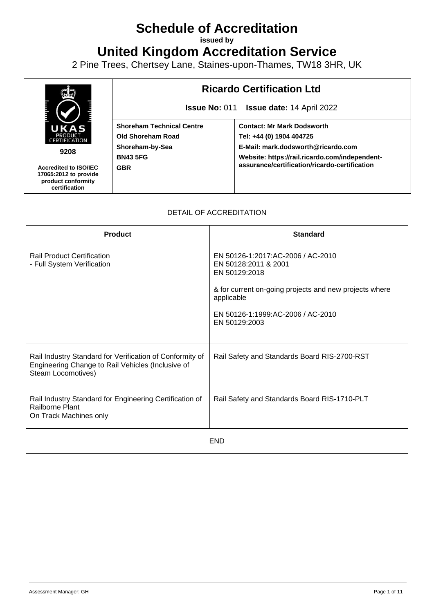## **Schedule of Accreditation**

**issued by**

**United Kingdom Accreditation Service**

2 Pine Trees, Chertsey Lane, Staines-upon-Thames, TW18 3HR, UK



## DETAIL OF ACCREDITATION

| <b>Product</b>                                                                                                                      | <b>Standard</b>                                                                                                                                                                                          |
|-------------------------------------------------------------------------------------------------------------------------------------|----------------------------------------------------------------------------------------------------------------------------------------------------------------------------------------------------------|
| <b>Rail Product Certification</b><br>- Full System Verification                                                                     | EN 50126-1:2017:AC-2006 / AC-2010<br>EN 50128:2011 & 2001<br>EN 50129:2018<br>& for current on-going projects and new projects where<br>applicable<br>EN 50126-1:1999:AC-2006 / AC-2010<br>EN 50129:2003 |
| Rail Industry Standard for Verification of Conformity of<br>Engineering Change to Rail Vehicles (Inclusive of<br>Steam Locomotives) | Rail Safety and Standards Board RIS-2700-RST                                                                                                                                                             |
| Rail Industry Standard for Engineering Certification of<br>Railborne Plant<br>On Track Machines only                                | Rail Safety and Standards Board RIS-1710-PLT                                                                                                                                                             |
|                                                                                                                                     | <b>END</b>                                                                                                                                                                                               |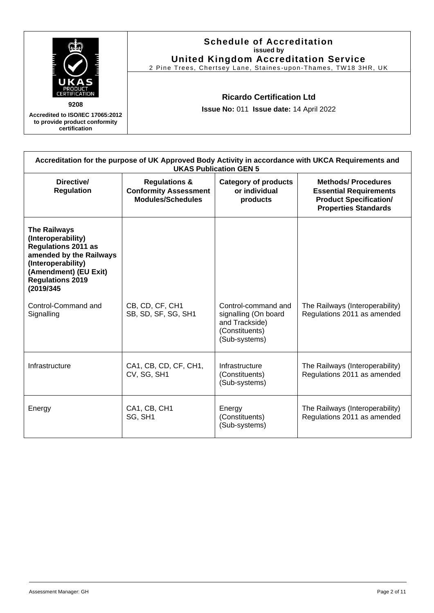|                                                                                    | <b>Schedule of Accreditation</b><br>issued by<br><b>United Kingdom Accreditation Service</b><br>2 Pine Trees, Chertsey Lane, Staines-upon-Thames, TW18 3HR, UK |
|------------------------------------------------------------------------------------|----------------------------------------------------------------------------------------------------------------------------------------------------------------|
| ж<br>PRODUCT<br>CERTIFICATION                                                      | <b>Ricardo Certification Ltd</b>                                                                                                                               |
| 9208                                                                               | Issue No: 011 Issue date: 14 April 2022                                                                                                                        |
| Accredited to ISO/IEC 17065:2012<br>to provide product conformity<br>certification |                                                                                                                                                                |

| Accreditation for the purpose of UK Approved Body Activity in accordance with UKCA Requirements and<br><b>UKAS Publication GEN 5</b>                                                      |                                                                                      |                                                                                                  |                                                                                                                            |  |
|-------------------------------------------------------------------------------------------------------------------------------------------------------------------------------------------|--------------------------------------------------------------------------------------|--------------------------------------------------------------------------------------------------|----------------------------------------------------------------------------------------------------------------------------|--|
| Directive/<br><b>Regulation</b>                                                                                                                                                           | <b>Regulations &amp;</b><br><b>Conformity Assessment</b><br><b>Modules/Schedules</b> | <b>Category of products</b><br>or individual<br>products                                         | <b>Methods/Procedures</b><br><b>Essential Requirements</b><br><b>Product Specification/</b><br><b>Properties Standards</b> |  |
| <b>The Railways</b><br>(Interoperability)<br><b>Regulations 2011 as</b><br>amended by the Railways<br>(Interoperability)<br>(Amendment) (EU Exit)<br><b>Regulations 2019</b><br>(2019/345 |                                                                                      |                                                                                                  |                                                                                                                            |  |
| Control-Command and<br>Signalling                                                                                                                                                         | CB, CD, CF, CH1<br>SB, SD, SF, SG, SH1                                               | Control-command and<br>signalling (On board<br>and Trackside)<br>(Constituents)<br>(Sub-systems) | The Railways (Interoperability)<br>Regulations 2011 as amended                                                             |  |
| Infrastructure                                                                                                                                                                            | CA1, CB, CD, CF, CH1,<br>CV, SG, SH1                                                 | Infrastructure<br>(Constituents)<br>(Sub-systems)                                                | The Railways (Interoperability)<br>Regulations 2011 as amended                                                             |  |
| Energy                                                                                                                                                                                    | CA1, CB, CH1<br>SG, SH1                                                              | Energy<br>(Constituents)<br>(Sub-systems)                                                        | The Railways (Interoperability)<br>Regulations 2011 as amended                                                             |  |

Ï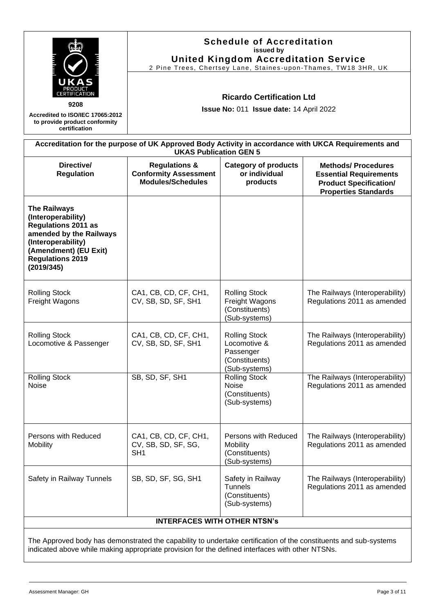|                                                                                                                                                                                                                     | <b>Schedule of Accreditation</b><br>issued by<br><b>United Kingdom Accreditation Service</b><br>2 Pine Trees, Chertsey Lane, Staines-upon-Thames, TW18 3HR, UK<br><b>Ricardo Certification Ltd</b><br>Issue No: 011 Issue date: 14 April 2022                                  |                                                                                      |                                                                                                     |
|---------------------------------------------------------------------------------------------------------------------------------------------------------------------------------------------------------------------|--------------------------------------------------------------------------------------------------------------------------------------------------------------------------------------------------------------------------------------------------------------------------------|--------------------------------------------------------------------------------------|-----------------------------------------------------------------------------------------------------|
| 9208<br>Accredited to ISO/IEC 17065:2012<br>to provide product conformity<br>certification                                                                                                                          |                                                                                                                                                                                                                                                                                |                                                                                      |                                                                                                     |
|                                                                                                                                                                                                                     | <b>UKAS Publication GEN 5</b>                                                                                                                                                                                                                                                  |                                                                                      | Accreditation for the purpose of UK Approved Body Activity in accordance with UKCA Requirements and |
| Directive/<br><b>Regulation</b>                                                                                                                                                                                     | <b>Methods/Procedures</b><br><b>Regulations &amp;</b><br><b>Category of products</b><br><b>Conformity Assessment</b><br>or individual<br><b>Essential Requirements</b><br><b>Modules/Schedules</b><br>products<br><b>Product Specification/</b><br><b>Properties Standards</b> |                                                                                      |                                                                                                     |
| <b>The Railways</b><br>(Interoperability)<br><b>Regulations 2011 as</b><br>amended by the Railways<br>(Interoperability)<br>(Amendment) (EU Exit)<br><b>Regulations 2019</b><br>(2019/345)                          |                                                                                                                                                                                                                                                                                |                                                                                      |                                                                                                     |
| <b>Rolling Stock</b><br>Freight Wagons                                                                                                                                                                              | CA1, CB, CD, CF, CH1,<br>CV, SB, SD, SF, SH1                                                                                                                                                                                                                                   | <b>Rolling Stock</b><br>Freight Wagons<br>(Constituents)<br>(Sub-systems)            | The Railways (Interoperability)<br>Regulations 2011 as amended                                      |
| <b>Rolling Stock</b><br>Locomotive & Passenger                                                                                                                                                                      | CA1, CB, CD, CF, CH1,<br>CV, SB, SD, SF, SH1                                                                                                                                                                                                                                   | <b>Rolling Stock</b><br>Locomotive &<br>Passenger<br>(Constituents)<br>(Sub-systems) | The Railways (Interoperability)<br>Regulations 2011 as amended                                      |
| <b>Rolling Stock</b><br>Noise                                                                                                                                                                                       | SB, SD, SF, SH1                                                                                                                                                                                                                                                                | <b>Rolling Stock</b><br><b>Noise</b><br>(Constituents)<br>(Sub-systems)              | The Railways (Interoperability)<br>Regulations 2011 as amended                                      |
| Persons with Reduced<br>Mobility                                                                                                                                                                                    | CA1, CB, CD, CF, CH1,<br>CV, SB, SD, SF, SG,<br>SH <sub>1</sub>                                                                                                                                                                                                                | Persons with Reduced<br>Mobility<br>(Constituents)<br>(Sub-systems)                  | The Railways (Interoperability)<br>Regulations 2011 as amended                                      |
| Safety in Railway Tunnels                                                                                                                                                                                           | SB, SD, SF, SG, SH1                                                                                                                                                                                                                                                            | Safety in Railway<br><b>Tunnels</b><br>(Constituents)<br>(Sub-systems)               | The Railways (Interoperability)<br>Regulations 2011 as amended                                      |
|                                                                                                                                                                                                                     | <b>INTERFACES WITH OTHER NTSN's</b>                                                                                                                                                                                                                                            |                                                                                      |                                                                                                     |
| The Approved body has demonstrated the capability to undertake certification of the constituents and sub-systems<br>indicated above while making appropriate provision for the defined interfaces with other NTSNs. |                                                                                                                                                                                                                                                                                |                                                                                      |                                                                                                     |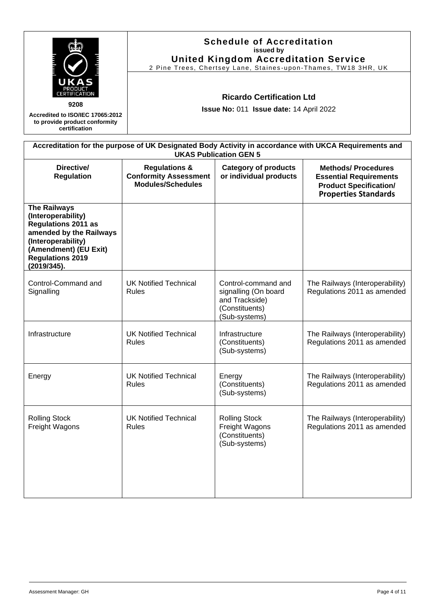|                                                                                                                                | <b>Schedule of Accreditation</b><br>issued by<br><b>United Kingdom Accreditation Service</b><br>2 Pine Trees, Chertsey Lane, Staines-upon-Thames, TW18 3HR, UK |
|--------------------------------------------------------------------------------------------------------------------------------|----------------------------------------------------------------------------------------------------------------------------------------------------------------|
| UKAS<br>PRODUCT<br>CERTIFICATION<br>9208<br>Accredited to ISO/IEC 17065:2012<br>to provide product conformity<br>certification | <b>Ricardo Certification Ltd</b><br><b>Issue No: 011 Issue date: 14 April 2022</b>                                                                             |
|                                                                                                                                | Accreditation for the purpose of UK Designated Body Activity in accordance with UKCA Requirements and                                                          |

| <b>UKAS Publication GEN 5</b>                                                                                                                                                        |                                                                               |                                                                                                  |                                                                                                                             |
|--------------------------------------------------------------------------------------------------------------------------------------------------------------------------------------|-------------------------------------------------------------------------------|--------------------------------------------------------------------------------------------------|-----------------------------------------------------------------------------------------------------------------------------|
| Directive/<br><b>Regulation</b>                                                                                                                                                      | <b>Regulations &amp;</b><br><b>Conformity Assessment</b><br>Modules/Schedules | <b>Category of products</b><br>or individual products                                            | <b>Methods/ Procedures</b><br><b>Essential Requirements</b><br><b>Product Specification/</b><br><b>Properties Standards</b> |
| <b>The Railways</b><br>(Interoperability)<br><b>Regulations 2011 as</b><br>amended by the Railways<br>(Interoperability)<br>(Amendment) (EU Exit)<br>Regulations 2019<br>(2019/345). |                                                                               |                                                                                                  |                                                                                                                             |
| Control-Command and<br>Signalling                                                                                                                                                    | <b>UK Notified Technical</b><br><b>Rules</b>                                  | Control-command and<br>signalling (On board<br>and Trackside)<br>(Constituents)<br>(Sub-systems) | The Railways (Interoperability)<br>Regulations 2011 as amended                                                              |
| Infrastructure                                                                                                                                                                       | <b>UK Notified Technical</b><br><b>Rules</b>                                  | Infrastructure<br>(Constituents)<br>(Sub-systems)                                                | The Railways (Interoperability)<br>Regulations 2011 as amended                                                              |
| Energy                                                                                                                                                                               | <b>UK Notified Technical</b><br><b>Rules</b>                                  | Energy<br>(Constituents)<br>(Sub-systems)                                                        | The Railways (Interoperability)<br>Regulations 2011 as amended                                                              |
| <b>Rolling Stock</b><br>Freight Wagons                                                                                                                                               | <b>UK Notified Technical</b><br><b>Rules</b>                                  | <b>Rolling Stock</b><br>Freight Wagons<br>(Constituents)<br>(Sub-systems)                        | The Railways (Interoperability)<br>Regulations 2011 as amended                                                              |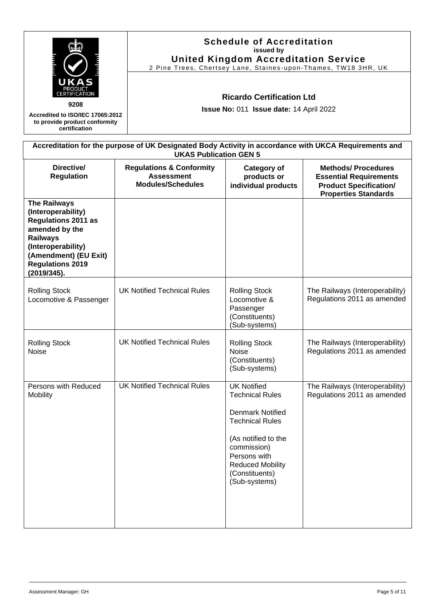|                                                                                                                                                                                                       |                                                                                                                                        | <b>Schedule of Accreditation</b><br>issued by<br><b>United Kingdom Accreditation Service</b><br>2 Pine Trees, Chertsey Lane, Staines-upon-Thames, TW18 3HR, UK                                                        |                                                                                                                             |  |
|-------------------------------------------------------------------------------------------------------------------------------------------------------------------------------------------------------|----------------------------------------------------------------------------------------------------------------------------------------|-----------------------------------------------------------------------------------------------------------------------------------------------------------------------------------------------------------------------|-----------------------------------------------------------------------------------------------------------------------------|--|
| 9208<br>Accredited to ISO/IEC 17065:2012<br>to provide product conformity<br>certification                                                                                                            |                                                                                                                                        | <b>Ricardo Certification Ltd</b><br>Issue No: 011 Issue date: 14 April 2022                                                                                                                                           |                                                                                                                             |  |
|                                                                                                                                                                                                       | Accreditation for the purpose of UK Designated Body Activity in accordance with UKCA Requirements and<br><b>UKAS Publication GEN 5</b> |                                                                                                                                                                                                                       |                                                                                                                             |  |
| Directive/<br><b>Regulation</b>                                                                                                                                                                       | <b>Regulations &amp; Conformity</b><br><b>Assessment</b><br><b>Modules/Schedules</b>                                                   | Category of<br>products or<br>individual products                                                                                                                                                                     | <b>Methods/ Procedures</b><br><b>Essential Requirements</b><br><b>Product Specification/</b><br><b>Properties Standards</b> |  |
| <b>The Railways</b><br>(Interoperability)<br><b>Regulations 2011 as</b><br>amended by the<br><b>Railways</b><br>(Interoperability)<br>(Amendment) (EU Exit)<br><b>Regulations 2019</b><br>(2019/345). |                                                                                                                                        |                                                                                                                                                                                                                       |                                                                                                                             |  |
| <b>Rolling Stock</b><br>Locomotive & Passenger                                                                                                                                                        | <b>UK Notified Technical Rules</b>                                                                                                     | <b>Rolling Stock</b><br>Locomotive &<br>Passenger<br>(Constituents)<br>(Sub-systems)                                                                                                                                  | The Railways (Interoperability)<br>Regulations 2011 as amended                                                              |  |
| <b>Rolling Stock</b><br><b>Noise</b>                                                                                                                                                                  | <b>UK Notified Technical Rules</b>                                                                                                     | <b>Rolling Stock</b><br><b>Noise</b><br>(Constituents)<br>(Sub-systems)                                                                                                                                               | The Railways (Interoperability)<br>Regulations 2011 as amended                                                              |  |
| Persons with Reduced<br>Mobility                                                                                                                                                                      | <b>UK Notified Technical Rules</b>                                                                                                     | <b>UK Notified</b><br><b>Technical Rules</b><br><b>Denmark Notified</b><br><b>Technical Rules</b><br>(As notified to the<br>commission)<br>Persons with<br><b>Reduced Mobility</b><br>(Constituents)<br>(Sub-systems) | The Railways (Interoperability)<br>Regulations 2011 as amended                                                              |  |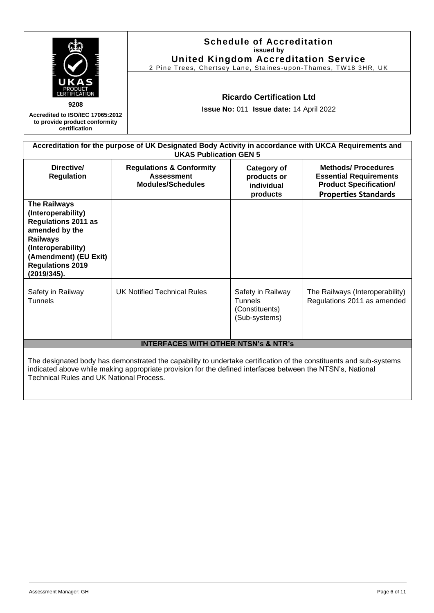| 9208<br>Accredited to ISO/IEC 17065:2012<br>to provide product conformity<br>certification                                                                                                                                                                                   |                                                                                                                                        | <b>Schedule of Accreditation</b><br>issued by<br><b>United Kingdom Accreditation Service</b><br>2 Pine Trees, Chertsey Lane, Staines-upon-Thames, TW18 3HR, UK<br><b>Ricardo Certification Ltd</b><br>Issue No: 011 Issue date: 14 April 2022 |                                                                |  |
|------------------------------------------------------------------------------------------------------------------------------------------------------------------------------------------------------------------------------------------------------------------------------|----------------------------------------------------------------------------------------------------------------------------------------|-----------------------------------------------------------------------------------------------------------------------------------------------------------------------------------------------------------------------------------------------|----------------------------------------------------------------|--|
|                                                                                                                                                                                                                                                                              | Accreditation for the purpose of UK Designated Body Activity in accordance with UKCA Requirements and<br><b>UKAS Publication GEN 5</b> |                                                                                                                                                                                                                                               |                                                                |  |
| Directive/<br><b>Regulation</b>                                                                                                                                                                                                                                              | <b>Regulations &amp; Conformity</b><br><b>Assessment</b><br><b>Modules/Schedules</b>                                                   | <b>Methods/ Procedures</b><br><b>Category of</b><br><b>Essential Requirements</b><br>products or<br><b>Product Specification/</b><br>individual<br><b>Properties Standards</b><br>products                                                    |                                                                |  |
| <b>The Railways</b><br>(Interoperability)<br><b>Regulations 2011 as</b><br>amended by the<br><b>Railways</b><br>(Interoperability)<br>(Amendment) (EU Exit)<br><b>Regulations 2019</b><br>(2019/345).                                                                        |                                                                                                                                        |                                                                                                                                                                                                                                               |                                                                |  |
| Safety in Railway<br><b>Tunnels</b>                                                                                                                                                                                                                                          | <b>UK Notified Technical Rules</b>                                                                                                     | Safety in Railway<br><b>Tunnels</b><br>(Constituents)<br>(Sub-systems)                                                                                                                                                                        | The Railways (Interoperability)<br>Regulations 2011 as amended |  |
| <b>INTERFACES WITH OTHER NTSN's &amp; NTR's</b>                                                                                                                                                                                                                              |                                                                                                                                        |                                                                                                                                                                                                                                               |                                                                |  |
| The designated body has demonstrated the capability to undertake certification of the constituents and sub-systems<br>indicated above while making appropriate provision for the defined interfaces between the NTSN's, National<br>Technical Rules and UK National Process. |                                                                                                                                        |                                                                                                                                                                                                                                               |                                                                |  |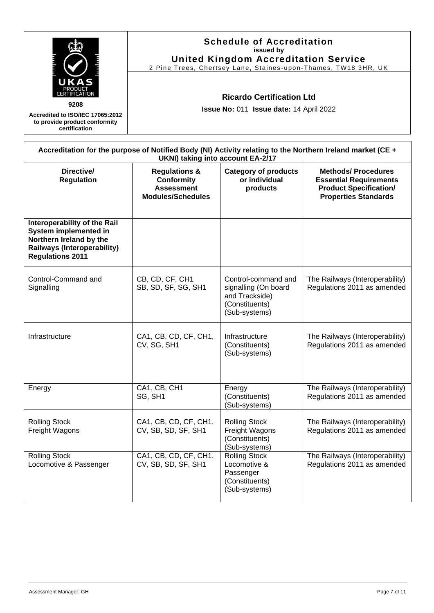| 9208<br>Accredited to ISO/IEC 17065:2012<br>to provide product conformity<br>certification                                                        | <b>Schedule of Accreditation</b><br>issued by<br><b>United Kingdom Accreditation Service</b><br>2 Pine Trees, Chertsey Lane, Staines-upon-Thames, TW18 3HR, UK<br><b>Ricardo Certification Ltd</b><br>Issue No: 011 Issue date: 14 April 2022                                            |                                                                                                  |                                                                                                            |  |
|---------------------------------------------------------------------------------------------------------------------------------------------------|------------------------------------------------------------------------------------------------------------------------------------------------------------------------------------------------------------------------------------------------------------------------------------------|--------------------------------------------------------------------------------------------------|------------------------------------------------------------------------------------------------------------|--|
|                                                                                                                                                   | UKNI) taking into account EA-2/17                                                                                                                                                                                                                                                        |                                                                                                  | Accreditation for the purpose of Notified Body (NI) Activity relating to the Northern Ireland market (CE + |  |
| Directive/<br><b>Regulation</b>                                                                                                                   | <b>Category of products</b><br><b>Methods/Procedures</b><br><b>Regulations &amp;</b><br>or individual<br><b>Conformity</b><br><b>Essential Requirements</b><br><b>Assessment</b><br><b>Product Specification/</b><br>products<br><b>Modules/Schedules</b><br><b>Properties Standards</b> |                                                                                                  |                                                                                                            |  |
| Interoperability of the Rail<br>System implemented in<br>Northern Ireland by the<br><b>Railways (Interoperability)</b><br><b>Regulations 2011</b> |                                                                                                                                                                                                                                                                                          |                                                                                                  |                                                                                                            |  |
| Control-Command and<br>Signalling                                                                                                                 | CB, CD, CF, CH1<br>SB, SD, SF, SG, SH1                                                                                                                                                                                                                                                   | Control-command and<br>signalling (On board<br>and Trackside)<br>(Constituents)<br>(Sub-systems) | The Railways (Interoperability)<br>Regulations 2011 as amended                                             |  |
| Infrastructure                                                                                                                                    | CA1, CB, CD, CF, CH1,<br>CV, SG, SH1                                                                                                                                                                                                                                                     | Infrastructure<br>(Constituents)<br>(Sub-systems)                                                | The Railways (Interoperability)<br>Regulations 2011 as amended                                             |  |
| Energy                                                                                                                                            | CA1, CB, CH1<br>SG, SH1                                                                                                                                                                                                                                                                  | Energy<br>(Constituents)<br>(Sub-systems)                                                        | The Railways (Interoperability)<br>Regulations 2011 as amended                                             |  |
| <b>Rolling Stock</b><br>Freight Wagons                                                                                                            | CA1, CB, CD, CF, CH1,<br>CV, SB, SD, SF, SH1                                                                                                                                                                                                                                             | <b>Rolling Stock</b><br>Freight Wagons<br>(Constituents)<br>(Sub-systems)                        | The Railways (Interoperability)<br>Regulations 2011 as amended                                             |  |
| <b>Rolling Stock</b><br>Locomotive & Passenger                                                                                                    | CA1, CB, CD, CF, CH1,<br>CV, SB, SD, SF, SH1                                                                                                                                                                                                                                             | <b>Rolling Stock</b><br>Locomotive &<br>Passenger<br>(Constituents)<br>(Sub-systems)             | The Railways (Interoperability)<br>Regulations 2011 as amended                                             |  |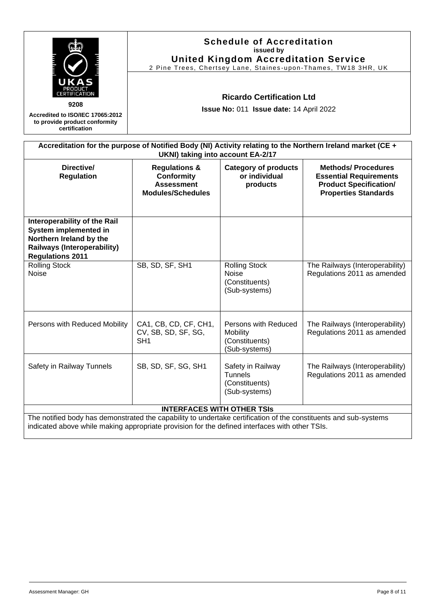| 9208<br>Accredited to ISO/IEC 17065:2012<br>to provide product conformity<br>certification                                                                                                                         | <b>Schedule of Accreditation</b><br>issued by<br><b>United Kingdom Accreditation Service</b><br>2 Pine Trees, Chertsey Lane, Staines-upon-Thames, TW18 3HR, UK<br><b>Ricardo Certification Ltd</b><br>Issue No: 011 Issue date: 14 April 2022<br>Accreditation for the purpose of Notified Body (NI) Activity relating to the Northern Ireland market (CE + |                                                                        |                                                                |
|--------------------------------------------------------------------------------------------------------------------------------------------------------------------------------------------------------------------|-------------------------------------------------------------------------------------------------------------------------------------------------------------------------------------------------------------------------------------------------------------------------------------------------------------------------------------------------------------|------------------------------------------------------------------------|----------------------------------------------------------------|
| Directive/<br><b>Regulation</b>                                                                                                                                                                                    | UKNI) taking into account EA-2/17<br><b>Methods/Procedures</b><br><b>Regulations &amp;</b><br><b>Category of products</b><br><b>Conformity</b><br>or individual<br><b>Essential Requirements</b><br><b>Assessment</b><br><b>Product Specification/</b><br>products<br><b>Modules/Schedules</b><br><b>Properties Standards</b>                               |                                                                        |                                                                |
| Interoperability of the Rail<br>System implemented in<br>Northern Ireland by the<br><b>Railways (Interoperability)</b><br><b>Regulations 2011</b>                                                                  |                                                                                                                                                                                                                                                                                                                                                             |                                                                        |                                                                |
| <b>Rolling Stock</b><br><b>Noise</b>                                                                                                                                                                               | SB, SD, SF, SH1                                                                                                                                                                                                                                                                                                                                             | <b>Rolling Stock</b><br>Noise<br>(Constituents)<br>(Sub-systems)       | The Railways (Interoperability)<br>Regulations 2011 as amended |
| Persons with Reduced Mobility                                                                                                                                                                                      | CA1, CB, CD, CF, CH1,<br>CV, SB, SD, SF, SG,<br>SH <sub>1</sub>                                                                                                                                                                                                                                                                                             | Persons with Reduced<br>Mobility<br>(Constituents)<br>(Sub-systems)    | The Railways (Interoperability)<br>Regulations 2011 as amended |
| Safety in Railway Tunnels                                                                                                                                                                                          | SB, SD, SF, SG, SH1                                                                                                                                                                                                                                                                                                                                         | Safety in Railway<br><b>Tunnels</b><br>(Constituents)<br>(Sub-systems) | The Railways (Interoperability)<br>Regulations 2011 as amended |
|                                                                                                                                                                                                                    | <b>INTERFACES WITH OTHER TSIS</b>                                                                                                                                                                                                                                                                                                                           |                                                                        |                                                                |
| The notified body has demonstrated the capability to undertake certification of the constituents and sub-systems<br>indicated above while making appropriate provision for the defined interfaces with other TSIs. |                                                                                                                                                                                                                                                                                                                                                             |                                                                        |                                                                |

 $\overline{\phantom{a}}$ 

 $\overline{\phantom{a}}$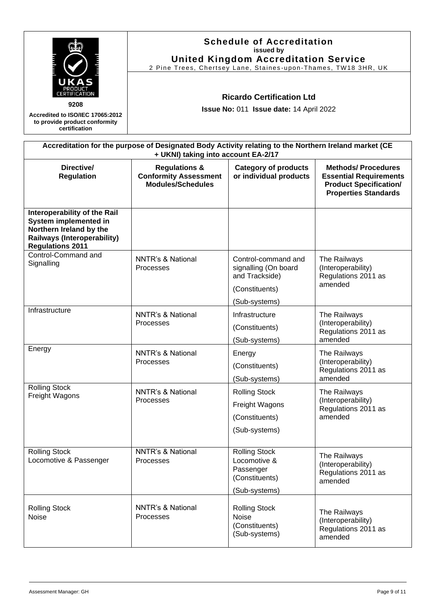| UKAS<br>9208                                                                                                                                      | <b>Schedule of Accreditation</b><br>issued by<br><b>United Kingdom Accreditation Service</b><br>2 Pine Trees, Chertsey Lane, Staines-upon-Thames, TW18 3HR, UK<br><b>Ricardo Certification Ltd</b><br>Issue No: 011 Issue date: 14 April 2022                               |                                                                                                  |                                                                      |  |
|---------------------------------------------------------------------------------------------------------------------------------------------------|-----------------------------------------------------------------------------------------------------------------------------------------------------------------------------------------------------------------------------------------------------------------------------|--------------------------------------------------------------------------------------------------|----------------------------------------------------------------------|--|
| Accredited to ISO/IEC 17065:2012<br>to provide product conformity<br>certification                                                                |                                                                                                                                                                                                                                                                             |                                                                                                  |                                                                      |  |
|                                                                                                                                                   | Accreditation for the purpose of Designated Body Activity relating to the Northern Ireland market (CE<br>+ UKNI) taking into account EA-2/17                                                                                                                                |                                                                                                  |                                                                      |  |
| Directive/<br><b>Regulation</b>                                                                                                                   | <b>Methods/Procedures</b><br><b>Regulations &amp;</b><br><b>Category of products</b><br><b>Conformity Assessment</b><br>or individual products<br><b>Essential Requirements</b><br><b>Modules/Schedules</b><br><b>Product Specification/</b><br><b>Properties Standards</b> |                                                                                                  |                                                                      |  |
| Interoperability of the Rail<br>System implemented in<br>Northern Ireland by the<br><b>Railways (Interoperability)</b><br><b>Regulations 2011</b> |                                                                                                                                                                                                                                                                             |                                                                                                  |                                                                      |  |
| Control-Command and<br>Signalling                                                                                                                 | <b>NNTR's &amp; National</b><br><b>Processes</b>                                                                                                                                                                                                                            | Control-command and<br>signalling (On board<br>and Trackside)<br>(Constituents)<br>(Sub-systems) | The Railways<br>(Interoperability)<br>Regulations 2011 as<br>amended |  |
| Infrastructure                                                                                                                                    | <b>NNTR's &amp; National</b><br>Processes                                                                                                                                                                                                                                   | Infrastructure<br>(Constituents)<br>(Sub-systems)                                                | The Railways<br>(Interoperability)<br>Regulations 2011 as<br>amended |  |
| Energy                                                                                                                                            | <b>NNTR's &amp; National</b><br>Processes                                                                                                                                                                                                                                   | Energy<br>(Constituents)<br>(Sub-systems)                                                        | The Railways<br>(Interoperability)<br>Regulations 2011 as<br>amended |  |
| <b>Rolling Stock</b><br>Freight Wagons                                                                                                            | <b>NNTR's &amp; National</b><br>Processes                                                                                                                                                                                                                                   | <b>Rolling Stock</b><br>Freight Wagons<br>(Constituents)<br>(Sub-systems)                        | The Railways<br>(Interoperability)<br>Regulations 2011 as<br>amended |  |
| <b>Rolling Stock</b><br>Locomotive & Passenger                                                                                                    | <b>NNTR's &amp; National</b><br><b>Processes</b>                                                                                                                                                                                                                            | <b>Rolling Stock</b><br>Locomotive &<br>Passenger<br>(Constituents)<br>(Sub-systems)             | The Railways<br>(Interoperability)<br>Regulations 2011 as<br>amended |  |
| <b>Rolling Stock</b><br>Noise                                                                                                                     | <b>NNTR's &amp; National</b><br>Processes                                                                                                                                                                                                                                   | <b>Rolling Stock</b><br><b>Noise</b><br>(Constituents)<br>(Sub-systems)                          | The Railways<br>(Interoperability)<br>Regulations 2011 as<br>amended |  |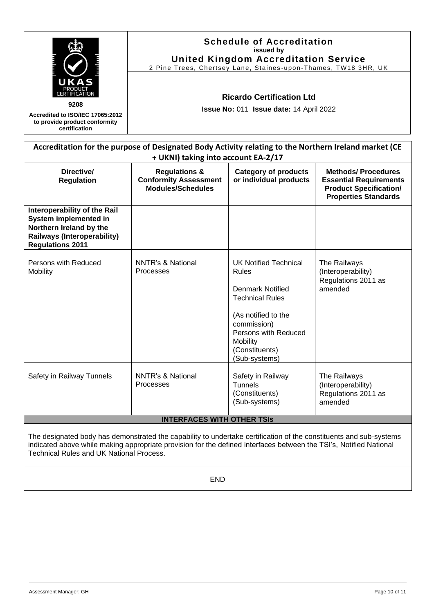|                                                                                                                                                   | <b>Schedule of Accreditation</b><br>issued by<br><b>United Kingdom Accreditation Service</b><br>2 Pine Trees, Chertsey Lane, Staines-upon-Thames, TW18 3HR, UK                                                                                                              |                                                                                                                                                                                                                |                                                                      |  |
|---------------------------------------------------------------------------------------------------------------------------------------------------|-----------------------------------------------------------------------------------------------------------------------------------------------------------------------------------------------------------------------------------------------------------------------------|----------------------------------------------------------------------------------------------------------------------------------------------------------------------------------------------------------------|----------------------------------------------------------------------|--|
| 9208<br>Accredited to ISO/IEC 17065:2012<br>to provide product conformity<br>certification                                                        | <b>Ricardo Certification Ltd</b><br>Issue No: 011 Issue date: 14 April 2022                                                                                                                                                                                                 |                                                                                                                                                                                                                |                                                                      |  |
|                                                                                                                                                   | Accreditation for the purpose of Designated Body Activity relating to the Northern Ireland market (CE<br>+ UKNI) taking into account EA-2/17                                                                                                                                |                                                                                                                                                                                                                |                                                                      |  |
| Directive/<br><b>Regulation</b>                                                                                                                   | <b>Category of products</b><br><b>Methods/Procedures</b><br><b>Regulations &amp;</b><br><b>Conformity Assessment</b><br>or individual products<br><b>Essential Requirements</b><br><b>Modules/Schedules</b><br><b>Product Specification/</b><br><b>Properties Standards</b> |                                                                                                                                                                                                                |                                                                      |  |
| Interoperability of the Rail<br>System implemented in<br>Northern Ireland by the<br><b>Railways (Interoperability)</b><br><b>Regulations 2011</b> |                                                                                                                                                                                                                                                                             |                                                                                                                                                                                                                |                                                                      |  |
| Persons with Reduced<br><b>Mobility</b>                                                                                                           | <b>NNTR's &amp; National</b><br>Processes                                                                                                                                                                                                                                   | <b>UK Notified Technical</b><br><b>Rules</b><br><b>Denmark Notified</b><br><b>Technical Rules</b><br>(As notified to the<br>commission)<br>Persons with Reduced<br>Mobility<br>(Constituents)<br>(Sub-systems) | The Railways<br>(Interoperability)<br>Regulations 2011 as<br>amended |  |
| Safety in Railway Tunnels                                                                                                                         | <b>NNTR's &amp; National</b><br>Processes                                                                                                                                                                                                                                   | Safety in Railway<br><b>Tunnels</b>                                                                                                                                                                            | The Railways<br>(Interoperability)                                   |  |

## **INTERFACES WITH OTHER TSIs**

(Constituents) (Sub-systems)

The designated body has demonstrated the capability to undertake certification of the constituents and sub-systems indicated above while making appropriate provision for the defined interfaces between the TSI's, Notified National Technical Rules and UK National Process.

END

Regulations 2011 as

amended